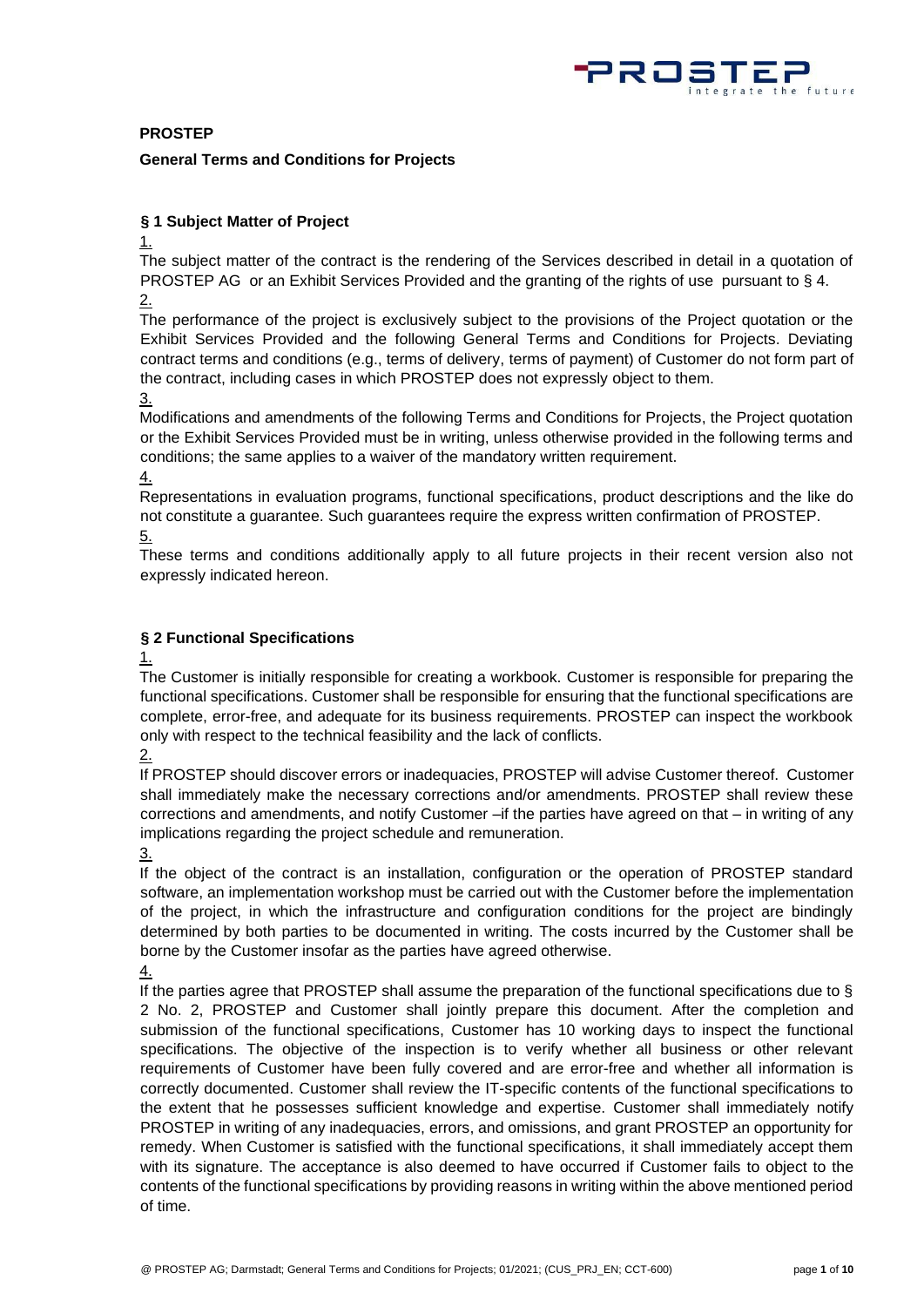

## **PROSTEP**

#### **General Terms and Conditions for Projects**

## **§ 1 Subject Matter of Project**

 $1.$ 

The subject matter of the contract is the rendering of the Services described in detail in a quotation of PROSTEP AG or an Exhibit Services Provided and the granting of the rights of use pursuant to § 4. 2.

The performance of the project is exclusively subject to the provisions of the Project quotation or the Exhibit Services Provided and the following General Terms and Conditions for Projects. Deviating contract terms and conditions (e.g., terms of delivery, terms of payment) of Customer do not form part of the contract, including cases in which PROSTEP does not expressly object to them.

3.

Modifications and amendments of the following Terms and Conditions for Projects, the Project quotation or the Exhibit Services Provided must be in writing, unless otherwise provided in the following terms and conditions; the same applies to a waiver of the mandatory written requirement.

4.

Representations in evaluation programs, functional specifications, product descriptions and the like do not constitute a guarantee. Such guarantees require the express written confirmation of PROSTEP. 5.

These terms and conditions additionally apply to all future projects in their recent version also not expressly indicated hereon.

## **§ 2 Functional Specifications**

1.

The Customer is initially responsible for creating a workbook. Customer is responsible for preparing the functional specifications. Customer shall be responsible for ensuring that the functional specifications are complete, error-free, and adequate for its business requirements. PROSTEP can inspect the workbook only with respect to the technical feasibility and the lack of conflicts.

2.

If PROSTEP should discover errors or inadequacies, PROSTEP will advise Customer thereof. Customer shall immediately make the necessary corrections and/or amendments. PROSTEP shall review these corrections and amendments, and notify Customer  $-i$  fifthe parties have agreed on that  $-i$  in writing of any implications regarding the project schedule and remuneration.

3.

If the object of the contract is an installation, configuration or the operation of PROSTEP standard software, an implementation workshop must be carried out with the Customer before the implementation of the project, in which the infrastructure and configuration conditions for the project are bindingly determined by both parties to be documented in writing. The costs incurred by the Customer shall be borne by the Customer insofar as the parties have agreed otherwise.

4.

If the parties agree that PROSTEP shall assume the preparation of the functional specifications due to § 2 No. 2, PROSTEP and Customer shall jointly prepare this document. After the completion and submission of the functional specifications, Customer has 10 working days to inspect the functional specifications. The objective of the inspection is to verify whether all business or other relevant requirements of Customer have been fully covered and are error-free and whether all information is correctly documented. Customer shall review the IT-specific contents of the functional specifications to the extent that he possesses sufficient knowledge and expertise. Customer shall immediately notify PROSTEP in writing of any inadequacies, errors, and omissions, and grant PROSTEP an opportunity for remedy. When Customer is satisfied with the functional specifications, it shall immediately accept them with its signature. The acceptance is also deemed to have occurred if Customer fails to object to the contents of the functional specifications by providing reasons in writing within the above mentioned period of time.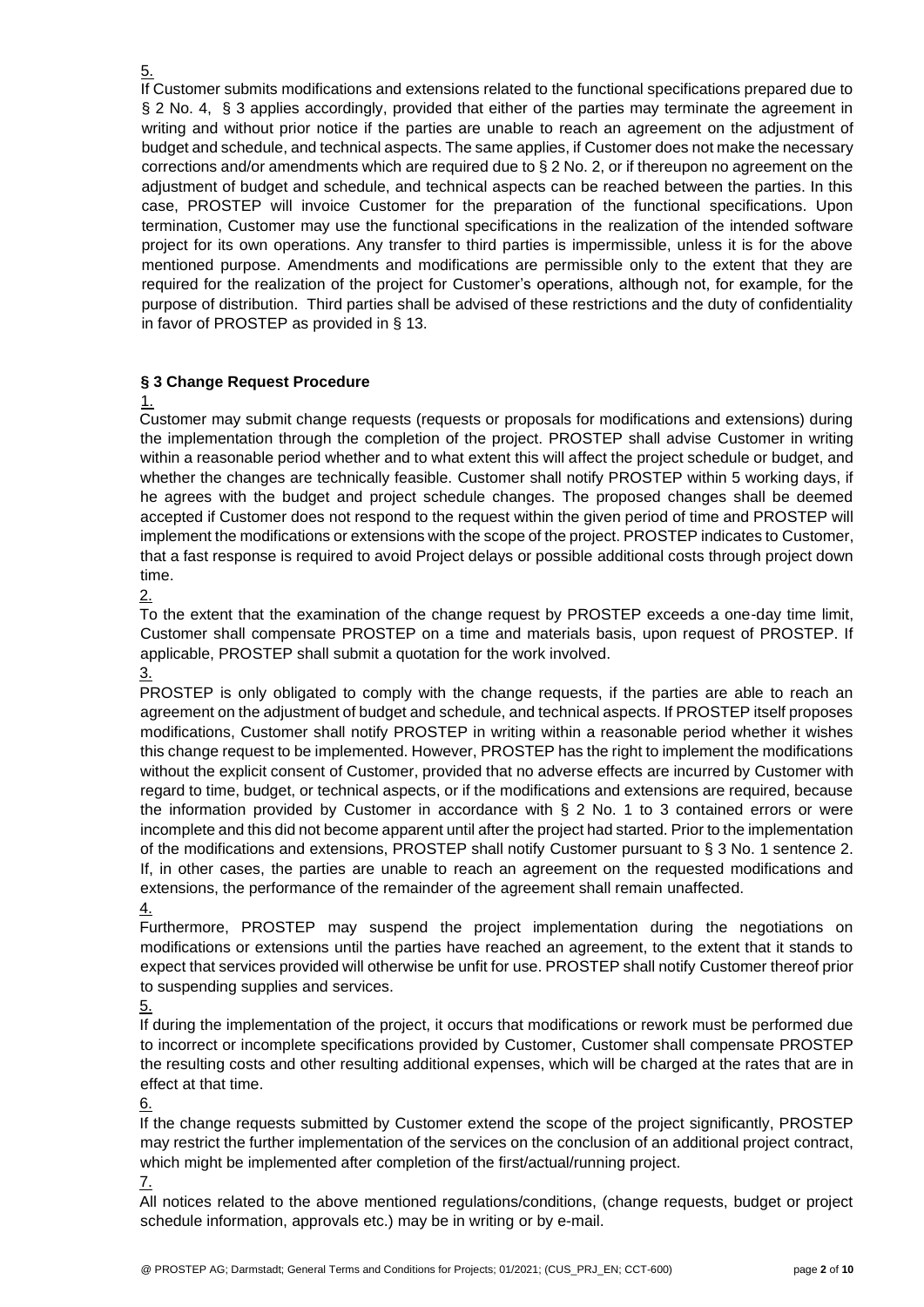If Customer submits modifications and extensions related to the functional specifications prepared due to § 2 No. 4, § 3 applies accordingly, provided that either of the parties may terminate the agreement in writing and without prior notice if the parties are unable to reach an agreement on the adjustment of budget and schedule, and technical aspects. The same applies, if Customer does not make the necessary corrections and/or amendments which are required due to § 2 No. 2, or if thereupon no agreement on the adjustment of budget and schedule, and technical aspects can be reached between the parties. In this case, PROSTEP will invoice Customer for the preparation of the functional specifications. Upon termination, Customer may use the functional specifications in the realization of the intended software project for its own operations. Any transfer to third parties is impermissible, unless it is for the above mentioned purpose. Amendments and modifications are permissible only to the extent that they are required for the realization of the project for Customer's operations, although not, for example, for the purpose of distribution. Third parties shall be advised of these restrictions and the duty of confidentiality in favor of PROSTEP as provided in § 13.

## **§ 3 Change Request Procedure**

## 1.

Customer may submit change requests (requests or proposals for modifications and extensions) during the implementation through the completion of the project. PROSTEP shall advise Customer in writing within a reasonable period whether and to what extent this will affect the project schedule or budget, and whether the changes are technically feasible. Customer shall notify PROSTEP within 5 working days, if he agrees with the budget and project schedule changes. The proposed changes shall be deemed accepted if Customer does not respond to the request within the given period of time and PROSTEP will implement the modifications or extensions with the scope of the project. PROSTEP indicates to Customer, that a fast response is required to avoid Project delays or possible additional costs through project down time.

 $2.$ 

To the extent that the examination of the change request by PROSTEP exceeds a one-day time limit, Customer shall compensate PROSTEP on a time and materials basis, upon request of PROSTEP. If applicable, PROSTEP shall submit a quotation for the work involved.

3.

PROSTEP is only obligated to comply with the change requests, if the parties are able to reach an agreement on the adjustment of budget and schedule, and technical aspects. If PROSTEP itself proposes modifications, Customer shall notify PROSTEP in writing within a reasonable period whether it wishes this change request to be implemented. However, PROSTEP has the right to implement the modifications without the explicit consent of Customer, provided that no adverse effects are incurred by Customer with regard to time, budget, or technical aspects, or if the modifications and extensions are required, because the information provided by Customer in accordance with § 2 No. 1 to 3 contained errors or were incomplete and this did not become apparent until after the project had started. Prior to the implementation of the modifications and extensions, PROSTEP shall notify Customer pursuant to § 3 No. 1 sentence 2. If, in other cases, the parties are unable to reach an agreement on the requested modifications and extensions, the performance of the remainder of the agreement shall remain unaffected.

4.

Furthermore, PROSTEP may suspend the project implementation during the negotiations on modifications or extensions until the parties have reached an agreement, to the extent that it stands to expect that services provided will otherwise be unfit for use. PROSTEP shall notify Customer thereof prior to suspending supplies and services.

5.

If during the implementation of the project, it occurs that modifications or rework must be performed due to incorrect or incomplete specifications provided by Customer, Customer shall compensate PROSTEP the resulting costs and other resulting additional expenses, which will be charged at the rates that are in effect at that time.

6.

If the change requests submitted by Customer extend the scope of the project significantly, PROSTEP may restrict the further implementation of the services on the conclusion of an additional project contract, which might be implemented after completion of the first/actual/running project.

7.

All notices related to the above mentioned regulations/conditions, (change requests, budget or project schedule information, approvals etc.) may be in writing or by e-mail.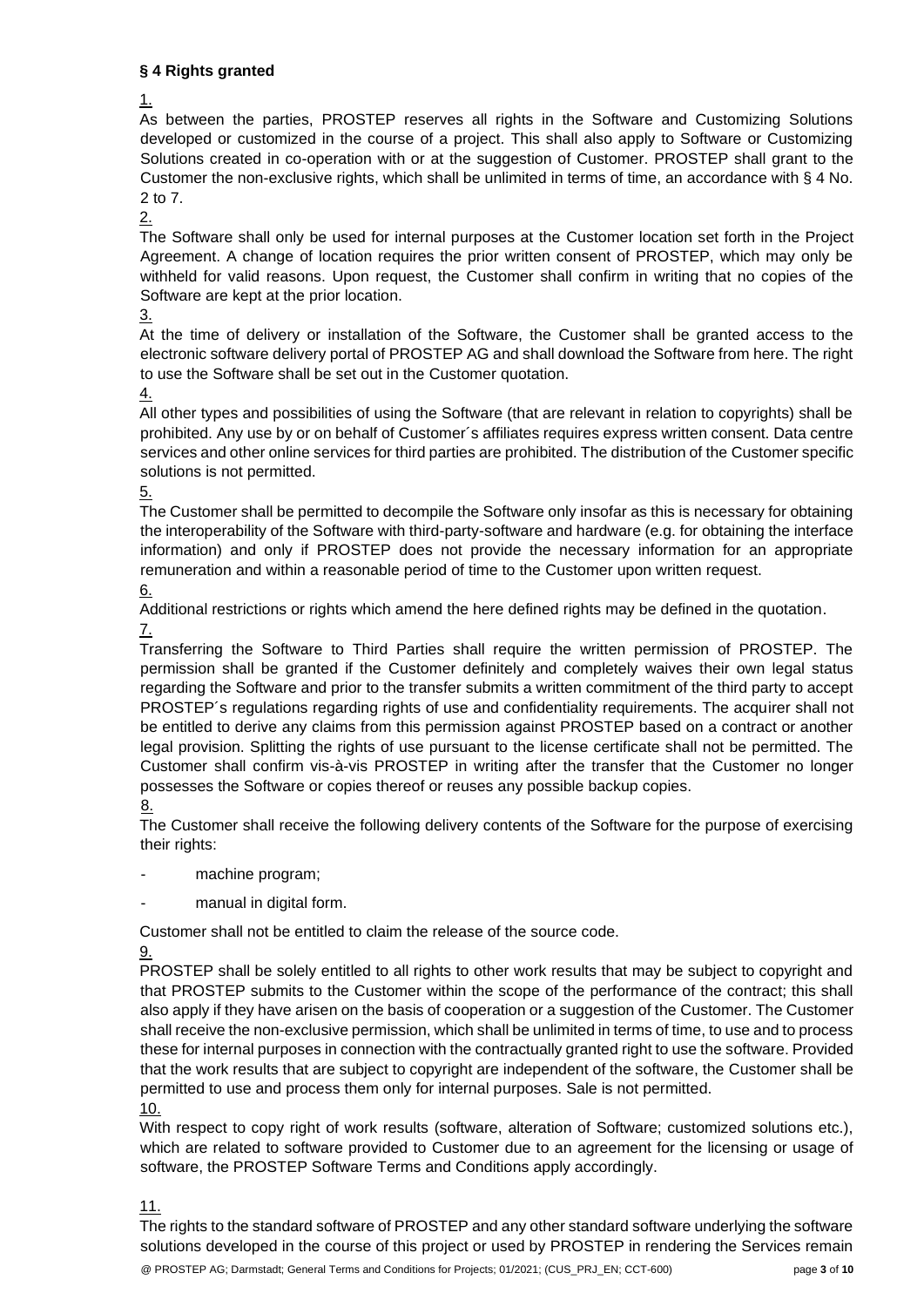## **§ 4 Rights granted**

As between the parties, PROSTEP reserves all rights in the Software and Customizing Solutions developed or customized in the course of a project. This shall also apply to Software or Customizing Solutions created in co-operation with or at the suggestion of Customer. PROSTEP shall grant to the Customer the non-exclusive rights, which shall be unlimited in terms of time, an accordance with § 4 No. 2 to 7.

2.

The Software shall only be used for internal purposes at the Customer location set forth in the Project Agreement. A change of location requires the prior written consent of PROSTEP, which may only be withheld for valid reasons. Upon request, the Customer shall confirm in writing that no copies of the Software are kept at the prior location.

3.

At the time of delivery or installation of the Software, the Customer shall be granted access to the electronic software delivery portal of PROSTEP AG and shall download the Software from here. The right to use the Software shall be set out in the Customer quotation.

4.

All other types and possibilities of using the Software (that are relevant in relation to copyrights) shall be prohibited. Any use by or on behalf of Customer´s affiliates requires express written consent. Data centre services and other online services for third parties are prohibited. The distribution of the Customer specific solutions is not permitted.

## 5.

The Customer shall be permitted to decompile the Software only insofar as this is necessary for obtaining the interoperability of the Software with third-party-software and hardware (e.g. for obtaining the interface information) and only if PROSTEP does not provide the necessary information for an appropriate remuneration and within a reasonable period of time to the Customer upon written request.

6.

Additional restrictions or rights which amend the here defined rights may be defined in the quotation. 7.

Transferring the Software to Third Parties shall require the written permission of PROSTEP. The permission shall be granted if the Customer definitely and completely waives their own legal status regarding the Software and prior to the transfer submits a written commitment of the third party to accept PROSTEP´s regulations regarding rights of use and confidentiality requirements. The acquirer shall not be entitled to derive any claims from this permission against PROSTEP based on a contract or another legal provision. Splitting the rights of use pursuant to the license certificate shall not be permitted. The Customer shall confirm vis-à-vis PROSTEP in writing after the transfer that the Customer no longer possesses the Software or copies thereof or reuses any possible backup copies.

8.

The Customer shall receive the following delivery contents of the Software for the purpose of exercising their rights:

- machine program;
- manual in digital form.

Customer shall not be entitled to claim the release of the source code.

9.

PROSTEP shall be solely entitled to all rights to other work results that may be subject to copyright and that PROSTEP submits to the Customer within the scope of the performance of the contract; this shall also apply if they have arisen on the basis of cooperation or a suggestion of the Customer. The Customer shall receive the non-exclusive permission, which shall be unlimited in terms of time, to use and to process these for internal purposes in connection with the contractually granted right to use the software. Provided that the work results that are subject to copyright are independent of the software, the Customer shall be permitted to use and process them only for internal purposes. Sale is not permitted.

10.

With respect to copy right of work results (software, alteration of Software; customized solutions etc.), which are related to software provided to Customer due to an agreement for the licensing or usage of software, the PROSTEP Software Terms and Conditions apply accordingly.

11.

The rights to the standard software of PROSTEP and any other standard software underlying the software solutions developed in the course of this project or used by PROSTEP in rendering the Services remain

<sup>1.</sup>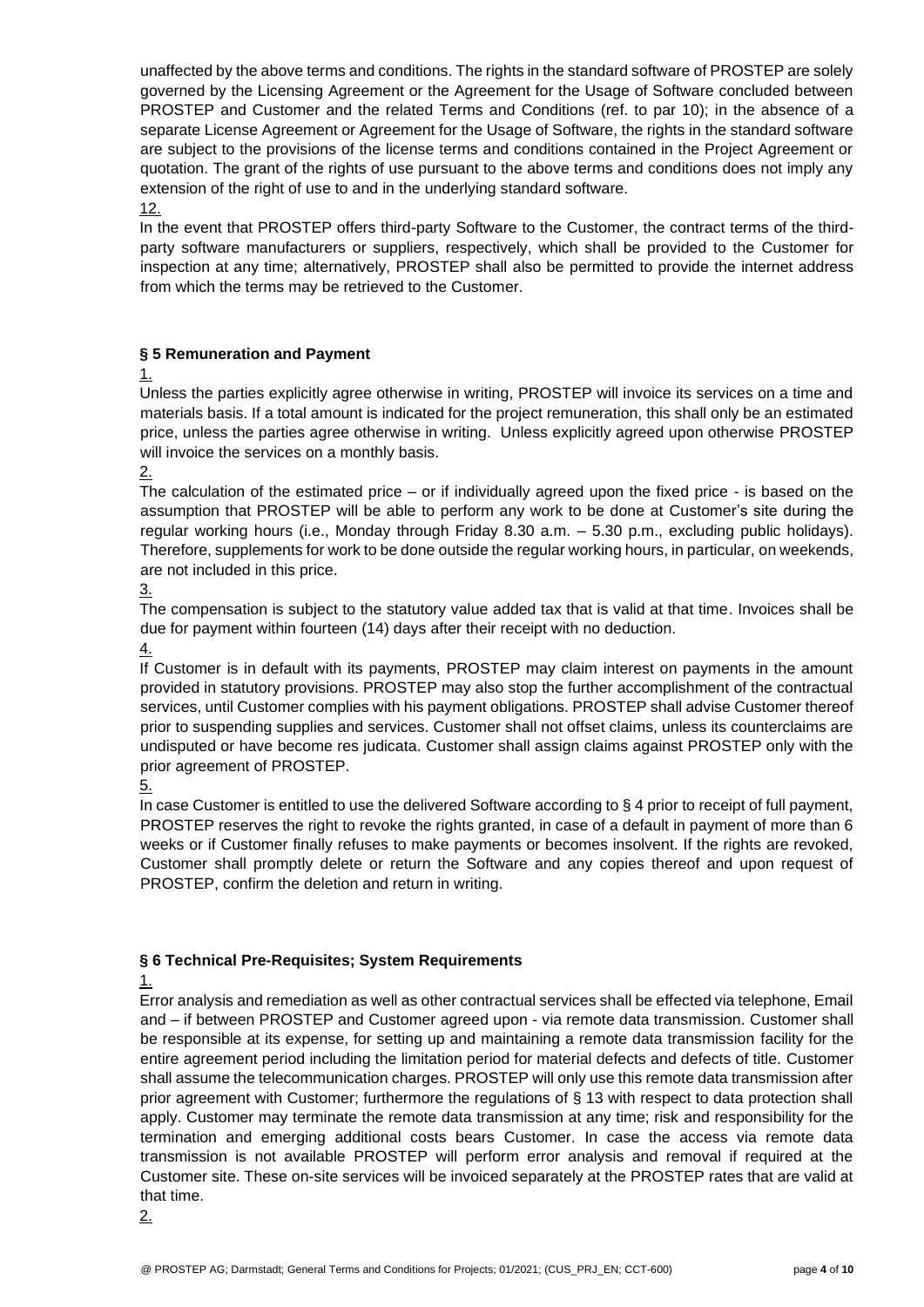unaffected by the above terms and conditions. The rights in the standard software of PROSTEP are solely governed by the Licensing Agreement or the Agreement for the Usage of Software concluded between PROSTEP and Customer and the related Terms and Conditions (ref. to par 10); in the absence of a separate License Agreement or Agreement for the Usage of Software, the rights in the standard software are subject to the provisions of the license terms and conditions contained in the Project Agreement or quotation. The grant of the rights of use pursuant to the above terms and conditions does not imply any extension of the right of use to and in the underlying standard software. 12.

In the event that PROSTEP offers third-party Software to the Customer, the contract terms of the thirdparty software manufacturers or suppliers, respectively, which shall be provided to the Customer for inspection at any time; alternatively, PROSTEP shall also be permitted to provide the internet address from which the terms may be retrieved to the Customer.

## **§ 5 Remuneration and Payment**

1.

Unless the parties explicitly agree otherwise in writing, PROSTEP will invoice its services on a time and materials basis. If a total amount is indicated for the project remuneration, this shall only be an estimated price, unless the parties agree otherwise in writing. Unless explicitly agreed upon otherwise PROSTEP will invoice the services on a monthly basis.

2.

The calculation of the estimated price – or if individually agreed upon the fixed price - is based on the assumption that PROSTEP will be able to perform any work to be done at Customer's site during the regular working hours (i.e., Monday through Friday 8.30 a.m. – 5.30 p.m., excluding public holidays). Therefore, supplements for work to be done outside the regular working hours, in particular, on weekends, are not included in this price.

3.

The compensation is subject to the statutory value added tax that is valid at that time. Invoices shall be due for payment within fourteen (14) days after their receipt with no deduction.

4.

If Customer is in default with its payments, PROSTEP may claim interest on payments in the amount provided in statutory provisions. PROSTEP may also stop the further accomplishment of the contractual services, until Customer complies with his payment obligations. PROSTEP shall advise Customer thereof prior to suspending supplies and services. Customer shall not offset claims, unless its counterclaims are undisputed or have become res judicata. Customer shall assign claims against PROSTEP only with the prior agreement of PROSTEP.

5.

In case Customer is entitled to use the delivered Software according to § 4 prior to receipt of full payment, PROSTEP reserves the right to revoke the rights granted, in case of a default in payment of more than 6 weeks or if Customer finally refuses to make payments or becomes insolvent. If the rights are revoked, Customer shall promptly delete or return the Software and any copies thereof and upon request of PROSTEP, confirm the deletion and return in writing.

## **§ 6 Technical Pre-Requisites; System Requirements**

## 1.

Error analysis and remediation as well as other contractual services shall be effected via telephone, Email and – if between PROSTEP and Customer agreed upon - via remote data transmission. Customer shall be responsible at its expense, for setting up and maintaining a remote data transmission facility for the entire agreement period including the limitation period for material defects and defects of title. Customer shall assume the telecommunication charges. PROSTEP will only use this remote data transmission after prior agreement with Customer; furthermore the regulations of § 13 with respect to data protection shall apply. Customer may terminate the remote data transmission at any time; risk and responsibility for the termination and emerging additional costs bears Customer. In case the access via remote data transmission is not available PROSTEP will perform error analysis and removal if required at the Customer site. These on-site services will be invoiced separately at the PROSTEP rates that are valid at that time.

2.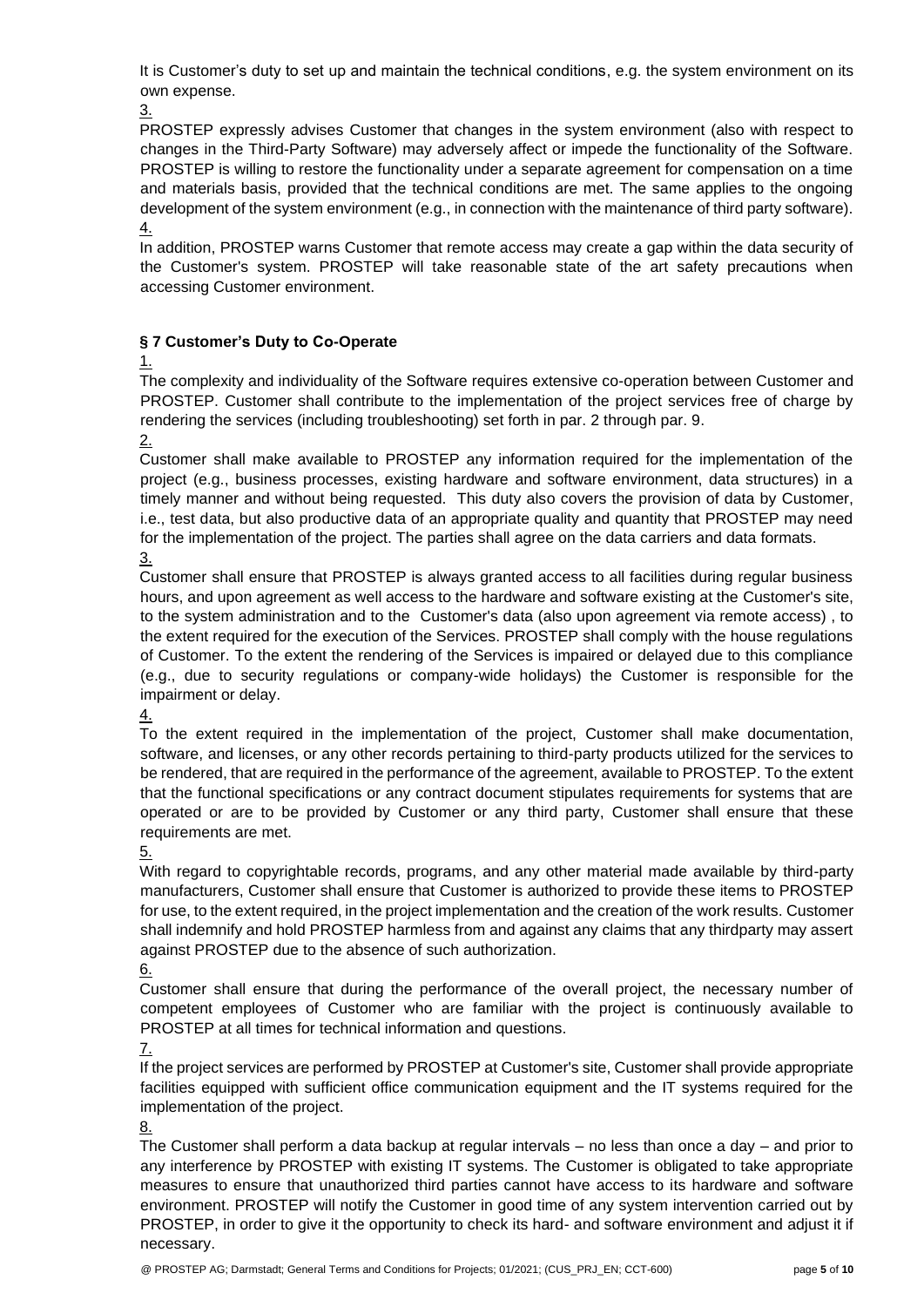It is Customer's duty to set up and maintain the technical conditions, e.g. the system environment on its own expense.

3.

PROSTEP expressly advises Customer that changes in the system environment (also with respect to changes in the Third-Party Software) may adversely affect or impede the functionality of the Software. PROSTEP is willing to restore the functionality under a separate agreement for compensation on a time and materials basis, provided that the technical conditions are met. The same applies to the ongoing development of the system environment (e.g., in connection with the maintenance of third party software). 4.

In addition, PROSTEP warns Customer that remote access may create a gap within the data security of the Customer's system. PROSTEP will take reasonable state of the art safety precautions when accessing Customer environment.

## **§ 7 Customer's Duty to Co-Operate**

1.

The complexity and individuality of the Software requires extensive co-operation between Customer and PROSTEP. Customer shall contribute to the implementation of the project services free of charge by rendering the services (including troubleshooting) set forth in par. 2 through par. 9.

2.

Customer shall make available to PROSTEP any information required for the implementation of the project (e.g., business processes, existing hardware and software environment, data structures) in a timely manner and without being requested. This duty also covers the provision of data by Customer, i.e., test data, but also productive data of an appropriate quality and quantity that PROSTEP may need for the implementation of the project. The parties shall agree on the data carriers and data formats. 3.

Customer shall ensure that PROSTEP is always granted access to all facilities during regular business hours, and upon agreement as well access to the hardware and software existing at the Customer's site, to the system administration and to the Customer's data (also upon agreement via remote access) , to the extent required for the execution of the Services. PROSTEP shall comply with the house regulations of Customer. To the extent the rendering of the Services is impaired or delayed due to this compliance (e.g., due to security regulations or company-wide holidays) the Customer is responsible for the impairment or delay.

4.

To the extent required in the implementation of the project, Customer shall make documentation, software, and licenses, or any other records pertaining to third-party products utilized for the services to be rendered, that are required in the performance of the agreement, available to PROSTEP. To the extent that the functional specifications or any contract document stipulates requirements for systems that are operated or are to be provided by Customer or any third party, Customer shall ensure that these requirements are met.

5.

With regard to copyrightable records, programs, and any other material made available by third-party manufacturers, Customer shall ensure that Customer is authorized to provide these items to PROSTEP for use, to the extent required, in the project implementation and the creation of the work results. Customer shall indemnify and hold PROSTEP harmless from and against any claims that any thirdparty may assert against PROSTEP due to the absence of such authorization.

6.

Customer shall ensure that during the performance of the overall project, the necessary number of competent employees of Customer who are familiar with the project is continuously available to PROSTEP at all times for technical information and questions.

7.

If the project services are performed by PROSTEP at Customer's site, Customer shall provide appropriate facilities equipped with sufficient office communication equipment and the IT systems required for the implementation of the project.

8.

The Customer shall perform a data backup at regular intervals – no less than once a day – and prior to any interference by PROSTEP with existing IT systems. The Customer is obligated to take appropriate measures to ensure that unauthorized third parties cannot have access to its hardware and software environment. PROSTEP will notify the Customer in good time of any system intervention carried out by PROSTEP, in order to give it the opportunity to check its hard- and software environment and adjust it if necessary.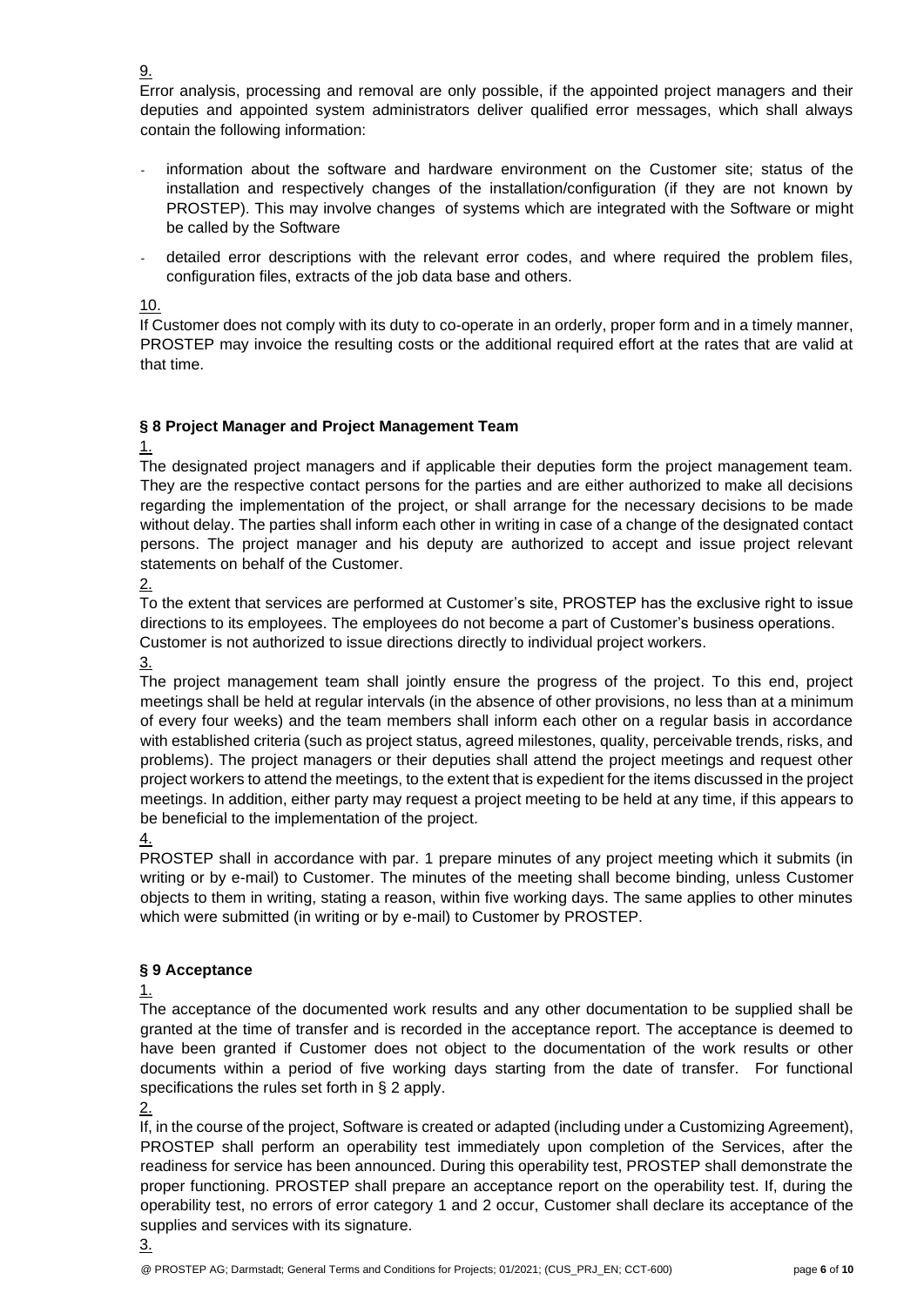Error analysis, processing and removal are only possible, if the appointed project managers and their deputies and appointed system administrators deliver qualified error messages, which shall always contain the following information:

- information about the software and hardware environment on the Customer site; status of the installation and respectively changes of the installation/configuration (if they are not known by PROSTEP). This may involve changes of systems which are integrated with the Software or might be called by the Software
- detailed error descriptions with the relevant error codes, and where required the problem files, configuration files, extracts of the job data base and others.

10.

9.

If Customer does not comply with its duty to co-operate in an orderly, proper form and in a timely manner, PROSTEP may invoice the resulting costs or the additional required effort at the rates that are valid at that time.

## **§ 8 Project Manager and Project Management Team**

1.

The designated project managers and if applicable their deputies form the project management team. They are the respective contact persons for the parties and are either authorized to make all decisions regarding the implementation of the project, or shall arrange for the necessary decisions to be made without delay. The parties shall inform each other in writing in case of a change of the designated contact persons. The project manager and his deputy are authorized to accept and issue project relevant statements on behalf of the Customer.

2.

To the extent that services are performed at Customer's site, PROSTEP has the exclusive right to issue directions to its employees. The employees do not become a part of Customer's business operations. Customer is not authorized to issue directions directly to individual project workers.

3.

The project management team shall jointly ensure the progress of the project. To this end, project meetings shall be held at regular intervals (in the absence of other provisions, no less than at a minimum of every four weeks) and the team members shall inform each other on a regular basis in accordance with established criteria (such as project status, agreed milestones, quality, perceivable trends, risks, and problems). The project managers or their deputies shall attend the project meetings and request other project workers to attend the meetings, to the extent that is expedient for the items discussed in the project meetings. In addition, either party may request a project meeting to be held at any time, if this appears to be beneficial to the implementation of the project.

4.

PROSTEP shall in accordance with par. 1 prepare minutes of any project meeting which it submits (in writing or by e-mail) to Customer. The minutes of the meeting shall become binding, unless Customer objects to them in writing, stating a reason, within five working days. The same applies to other minutes which were submitted (in writing or by e-mail) to Customer by PROSTEP.

## **§ 9 Acceptance**

1.

The acceptance of the documented work results and any other documentation to be supplied shall be granted at the time of transfer and is recorded in the acceptance report. The acceptance is deemed to have been granted if Customer does not object to the documentation of the work results or other documents within a period of five working days starting from the date of transfer. For functional specifications the rules set forth in § 2 apply.

2.

If, in the course of the project, Software is created or adapted (including under a Customizing Agreement), PROSTEP shall perform an operability test immediately upon completion of the Services, after the readiness for service has been announced. During this operability test, PROSTEP shall demonstrate the proper functioning. PROSTEP shall prepare an acceptance report on the operability test. If, during the operability test, no errors of error category 1 and 2 occur, Customer shall declare its acceptance of the supplies and services with its signature.

3.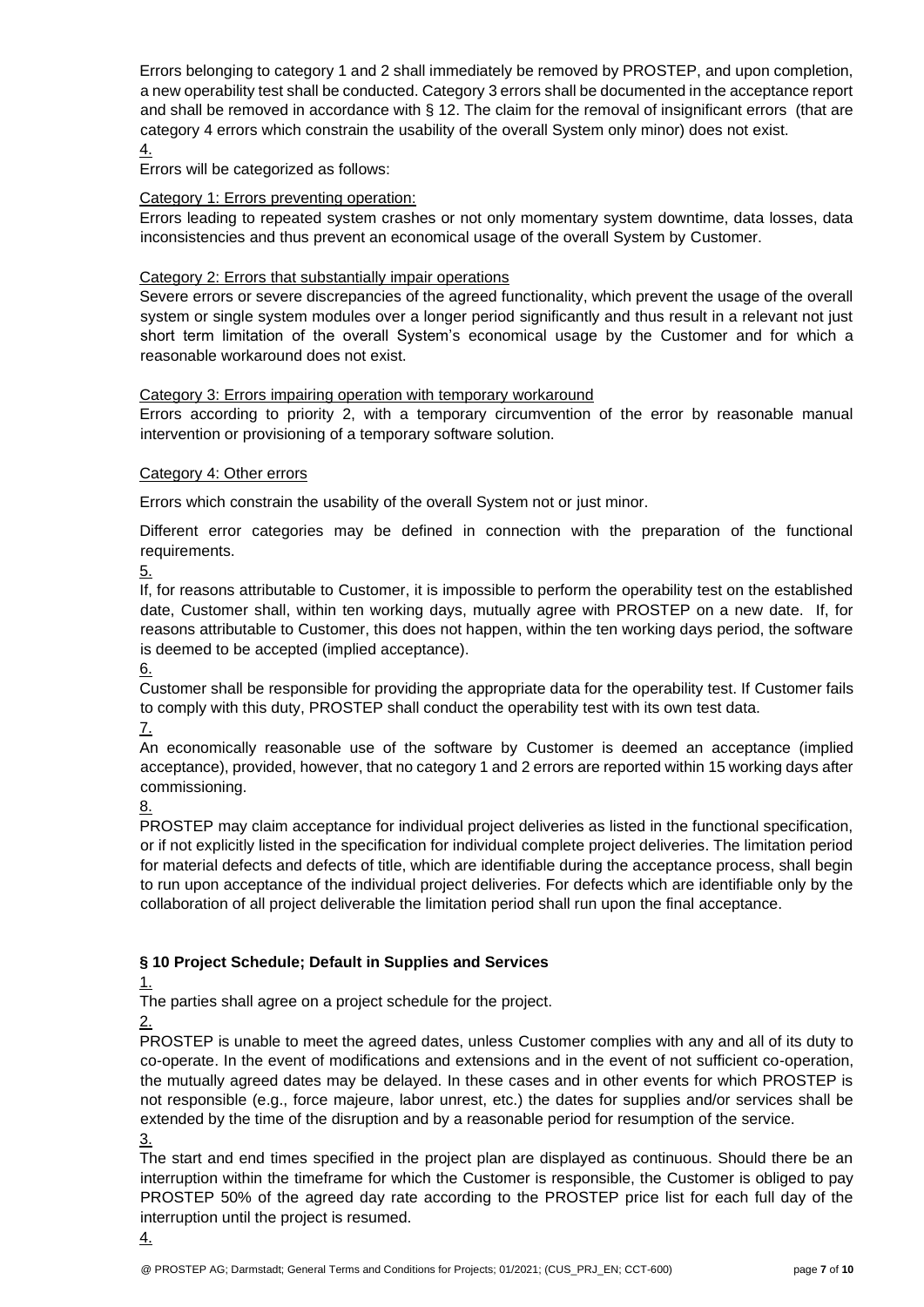Errors belonging to category 1 and 2 shall immediately be removed by PROSTEP, and upon completion, a new operability test shall be conducted. Category 3 errors shall be documented in the acceptance report and shall be removed in accordance with § 12. The claim for the removal of insignificant errors (that are category 4 errors which constrain the usability of the overall System only minor) does not exist. 4.

Errors will be categorized as follows:

### Category 1: Errors preventing operation:

Errors leading to repeated system crashes or not only momentary system downtime, data losses, data inconsistencies and thus prevent an economical usage of the overall System by Customer.

#### Category 2: Errors that substantially impair operations

Severe errors or severe discrepancies of the agreed functionality, which prevent the usage of the overall system or single system modules over a longer period significantly and thus result in a relevant not just short term limitation of the overall System's economical usage by the Customer and for which a reasonable workaround does not exist.

#### Category 3: Errors impairing operation with temporary workaround

Errors according to priority 2, with a temporary circumvention of the error by reasonable manual intervention or provisioning of a temporary software solution.

#### Category 4: Other errors

Errors which constrain the usability of the overall System not or just minor.

Different error categories may be defined in connection with the preparation of the functional requirements.

5.

If, for reasons attributable to Customer, it is impossible to perform the operability test on the established date, Customer shall, within ten working days, mutually agree with PROSTEP on a new date. If, for reasons attributable to Customer, this does not happen, within the ten working days period, the software is deemed to be accepted (implied acceptance).

6.

Customer shall be responsible for providing the appropriate data for the operability test. If Customer fails to comply with this duty, PROSTEP shall conduct the operability test with its own test data.

7.

An economically reasonable use of the software by Customer is deemed an acceptance (implied acceptance), provided, however, that no category 1 and 2 errors are reported within 15 working days after commissioning.

8.

PROSTEP may claim acceptance for individual project deliveries as listed in the functional specification, or if not explicitly listed in the specification for individual complete project deliveries. The limitation period for material defects and defects of title, which are identifiable during the acceptance process, shall begin to run upon acceptance of the individual project deliveries. For defects which are identifiable only by the collaboration of all project deliverable the limitation period shall run upon the final acceptance.

## **§ 10 Project Schedule; Default in Supplies and Services**

1.

The parties shall agree on a project schedule for the project.

2.

PROSTEP is unable to meet the agreed dates, unless Customer complies with any and all of its duty to co-operate. In the event of modifications and extensions and in the event of not sufficient co-operation, the mutually agreed dates may be delayed. In these cases and in other events for which PROSTEP is not responsible (e.g., force majeure, labor unrest, etc.) the dates for supplies and/or services shall be extended by the time of the disruption and by a reasonable period for resumption of the service. 3.

The start and end times specified in the project plan are displayed as continuous. Should there be an interruption within the timeframe for which the Customer is responsible, the Customer is obliged to pay PROSTEP 50% of the agreed day rate according to the PROSTEP price list for each full day of the interruption until the project is resumed.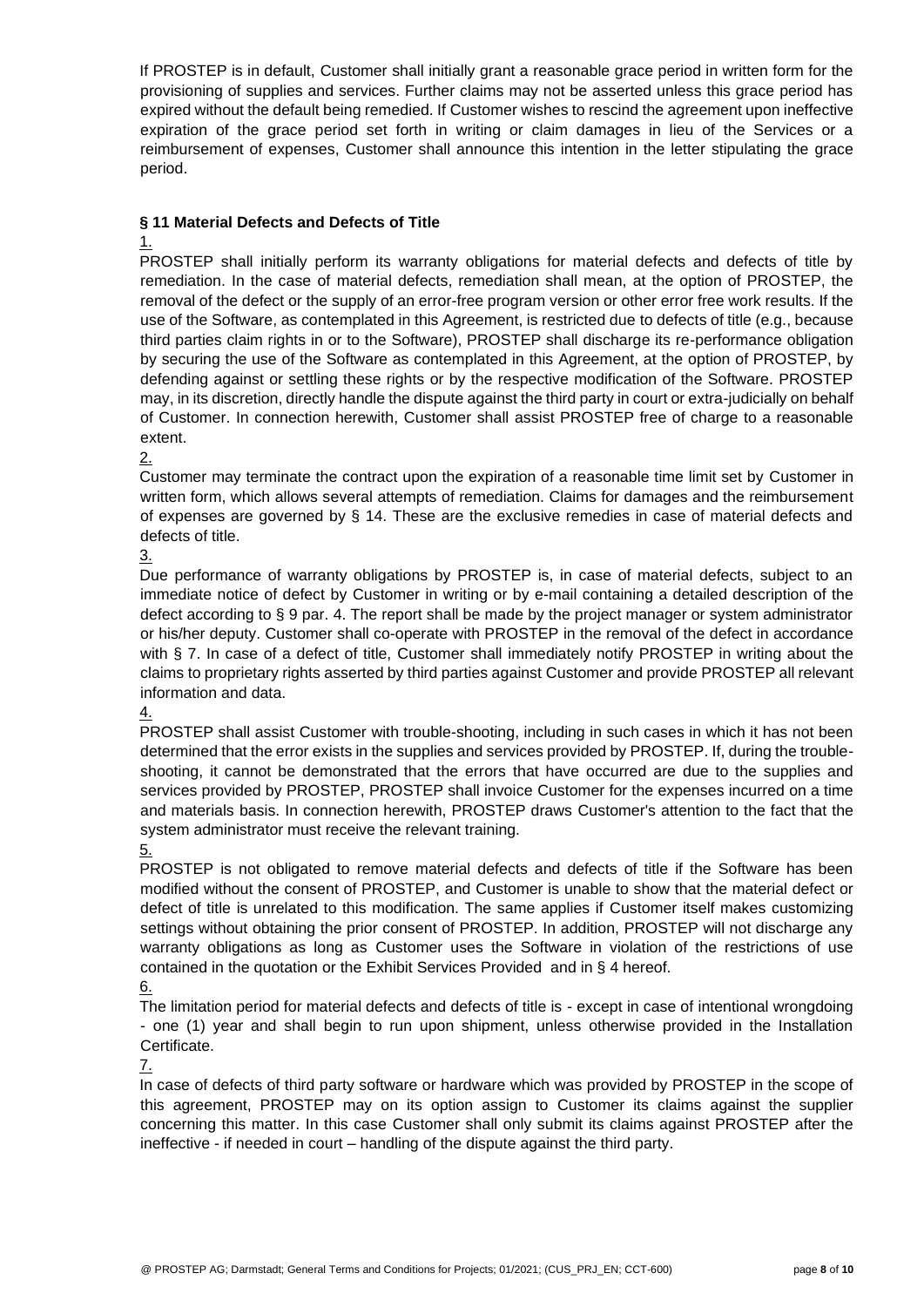If PROSTEP is in default, Customer shall initially grant a reasonable grace period in written form for the provisioning of supplies and services. Further claims may not be asserted unless this grace period has expired without the default being remedied. If Customer wishes to rescind the agreement upon ineffective expiration of the grace period set forth in writing or claim damages in lieu of the Services or a reimbursement of expenses, Customer shall announce this intention in the letter stipulating the grace period.

## **§ 11 Material Defects and Defects of Title**

#### 1.

PROSTEP shall initially perform its warranty obligations for material defects and defects of title by remediation. In the case of material defects, remediation shall mean, at the option of PROSTEP, the removal of the defect or the supply of an error-free program version or other error free work results. If the use of the Software, as contemplated in this Agreement, is restricted due to defects of title (e.g., because third parties claim rights in or to the Software), PROSTEP shall discharge its re-performance obligation by securing the use of the Software as contemplated in this Agreement, at the option of PROSTEP, by defending against or settling these rights or by the respective modification of the Software. PROSTEP may, in its discretion, directly handle the dispute against the third party in court or extra-judicially on behalf of Customer. In connection herewith, Customer shall assist PROSTEP free of charge to a reasonable extent.

#### 2.

Customer may terminate the contract upon the expiration of a reasonable time limit set by Customer in written form, which allows several attempts of remediation. Claims for damages and the reimbursement of expenses are governed by § 14. These are the exclusive remedies in case of material defects and defects of title.

3.

Due performance of warranty obligations by PROSTEP is, in case of material defects, subject to an immediate notice of defect by Customer in writing or by e-mail containing a detailed description of the defect according to § 9 par. 4. The report shall be made by the project manager or system administrator or his/her deputy. Customer shall co-operate with PROSTEP in the removal of the defect in accordance with § 7. In case of a defect of title, Customer shall immediately notify PROSTEP in writing about the claims to proprietary rights asserted by third parties against Customer and provide PROSTEP all relevant information and data.

#### 4.

PROSTEP shall assist Customer with trouble-shooting, including in such cases in which it has not been determined that the error exists in the supplies and services provided by PROSTEP. If, during the troubleshooting, it cannot be demonstrated that the errors that have occurred are due to the supplies and services provided by PROSTEP, PROSTEP shall invoice Customer for the expenses incurred on a time and materials basis. In connection herewith, PROSTEP draws Customer's attention to the fact that the system administrator must receive the relevant training.

## 5.

PROSTEP is not obligated to remove material defects and defects of title if the Software has been modified without the consent of PROSTEP, and Customer is unable to show that the material defect or defect of title is unrelated to this modification. The same applies if Customer itself makes customizing settings without obtaining the prior consent of PROSTEP. In addition, PROSTEP will not discharge any warranty obligations as long as Customer uses the Software in violation of the restrictions of use contained in the quotation or the Exhibit Services Provided and in § 4 hereof.

## 6.

The limitation period for material defects and defects of title is - except in case of intentional wrongdoing - one (1) year and shall begin to run upon shipment, unless otherwise provided in the Installation Certificate.

#### 7.

In case of defects of third party software or hardware which was provided by PROSTEP in the scope of this agreement, PROSTEP may on its option assign to Customer its claims against the supplier concerning this matter. In this case Customer shall only submit its claims against PROSTEP after the ineffective - if needed in court – handling of the dispute against the third party.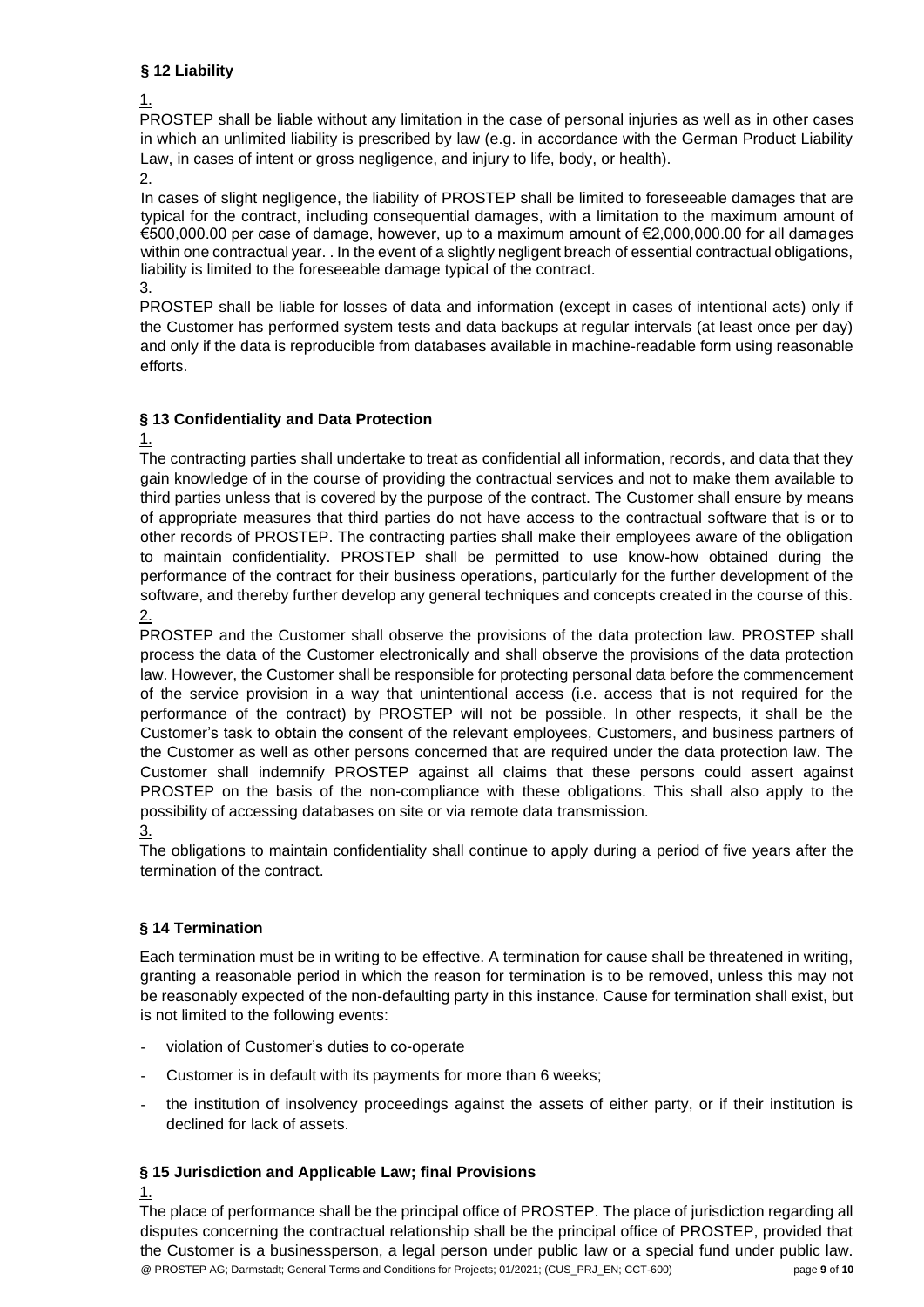## **§ 12 Liability**

1.

PROSTEP shall be liable without any limitation in the case of personal injuries as well as in other cases in which an unlimited liability is prescribed by law (e.g. in accordance with the German Product Liability Law, in cases of intent or gross negligence, and injury to life, body, or health).

2.

In cases of slight negligence, the liability of PROSTEP shall be limited to foreseeable damages that are typical for the contract, including consequential damages, with a limitation to the maximum amount of €500,000.00 per case of damage, however, up to a maximum amount of €2,000,000.00 for all damages within one contractual year. . In the event of a slightly negligent breach of essential contractual obligations, liability is limited to the foreseeable damage typical of the contract.

3.

PROSTEP shall be liable for losses of data and information (except in cases of intentional acts) only if the Customer has performed system tests and data backups at regular intervals (at least once per day) and only if the data is reproducible from databases available in machine-readable form using reasonable efforts.

## **§ 13 Confidentiality and Data Protection**

1.

The contracting parties shall undertake to treat as confidential all information, records, and data that they gain knowledge of in the course of providing the contractual services and not to make them available to third parties unless that is covered by the purpose of the contract. The Customer shall ensure by means of appropriate measures that third parties do not have access to the contractual software that is or to other records of PROSTEP. The contracting parties shall make their employees aware of the obligation to maintain confidentiality. PROSTEP shall be permitted to use know-how obtained during the performance of the contract for their business operations, particularly for the further development of the software, and thereby further develop any general techniques and concepts created in the course of this. 2.

PROSTEP and the Customer shall observe the provisions of the data protection law. PROSTEP shall process the data of the Customer electronically and shall observe the provisions of the data protection law. However, the Customer shall be responsible for protecting personal data before the commencement of the service provision in a way that unintentional access (i.e. access that is not required for the performance of the contract) by PROSTEP will not be possible. In other respects, it shall be the Customer's task to obtain the consent of the relevant employees, Customers, and business partners of the Customer as well as other persons concerned that are required under the data protection law. The Customer shall indemnify PROSTEP against all claims that these persons could assert against PROSTEP on the basis of the non-compliance with these obligations. This shall also apply to the possibility of accessing databases on site or via remote data transmission. 3.

The obligations to maintain confidentiality shall continue to apply during a period of five years after the termination of the contract.

# **§ 14 Termination**

Each termination must be in writing to be effective. A termination for cause shall be threatened in writing, granting a reasonable period in which the reason for termination is to be removed, unless this may not be reasonably expected of the non-defaulting party in this instance. Cause for termination shall exist, but is not limited to the following events:

- violation of Customer's duties to co-operate
- Customer is in default with its payments for more than 6 weeks;
- the institution of insolvency proceedings against the assets of either party, or if their institution is declined for lack of assets.

# **§ 15 Jurisdiction and Applicable Law; final Provisions**

1.

@ PROSTEP AG; Darmstadt; General Terms and Conditions for Projects; 01/2021; (CUS\_PRJ\_EN; CCT-600) page **9** of **10** The place of performance shall be the principal office of PROSTEP. The place of jurisdiction regarding all disputes concerning the contractual relationship shall be the principal office of PROSTEP, provided that the Customer is a businessperson, a legal person under public law or a special fund under public law.